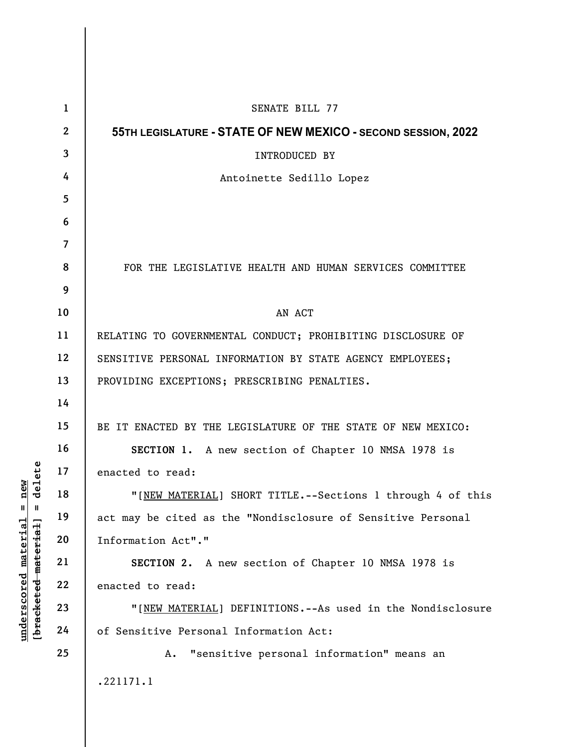|                                                                                                       | $\mathbf{1}$   | SENATE BILL 77                                                |
|-------------------------------------------------------------------------------------------------------|----------------|---------------------------------------------------------------|
| $=$ $\frac{\text{new}}{\text{delete}}$<br>$underscored$ material<br>[ <del>bracketed material</del> ] | $\mathbf{2}$   | 55TH LEGISLATURE - STATE OF NEW MEXICO - SECOND SESSION, 2022 |
|                                                                                                       | $\mathbf{3}$   | INTRODUCED BY                                                 |
|                                                                                                       | 4              | Antoinette Sedillo Lopez                                      |
|                                                                                                       | 5              |                                                               |
|                                                                                                       | 6              |                                                               |
|                                                                                                       | $\overline{7}$ |                                                               |
|                                                                                                       | 8              | FOR THE LEGISLATIVE HEALTH AND HUMAN SERVICES COMMITTEE       |
|                                                                                                       | 9              |                                                               |
|                                                                                                       | 10             | AN ACT                                                        |
|                                                                                                       | 11             | RELATING TO GOVERNMENTAL CONDUCT; PROHIBITING DISCLOSURE OF   |
|                                                                                                       | 12             | SENSITIVE PERSONAL INFORMATION BY STATE AGENCY EMPLOYEES;     |
|                                                                                                       | 13             | PROVIDING EXCEPTIONS; PRESCRIBING PENALTIES.                  |
|                                                                                                       | 14             |                                                               |
|                                                                                                       | 15             | BE IT ENACTED BY THE LEGISLATURE OF THE STATE OF NEW MEXICO:  |
|                                                                                                       | 16             | SECTION 1. A new section of Chapter 10 NMSA 1978 is           |
|                                                                                                       | 17             | enacted to read:                                              |
|                                                                                                       | 18             | "[NEW MATERIAL] SHORT TITLE. -- Sections 1 through 4 of this  |
|                                                                                                       | 19             | act may be cited as the "Nondisclosure of Sensitive Personal  |
|                                                                                                       | 20             | Information Act"."                                            |
|                                                                                                       | 21             | SECTION 2. A new section of Chapter 10 NMSA 1978 is           |
|                                                                                                       | 22             | enacted to read:                                              |
|                                                                                                       | 23             | "[NEW MATERIAL] DEFINITIONS.--As used in the Nondisclosure    |
|                                                                                                       | 24             | of Sensitive Personal Information Act:                        |
|                                                                                                       | 25             | "sensitive personal information" means an<br>Α.               |
|                                                                                                       |                | .221171.1                                                     |
|                                                                                                       |                |                                                               |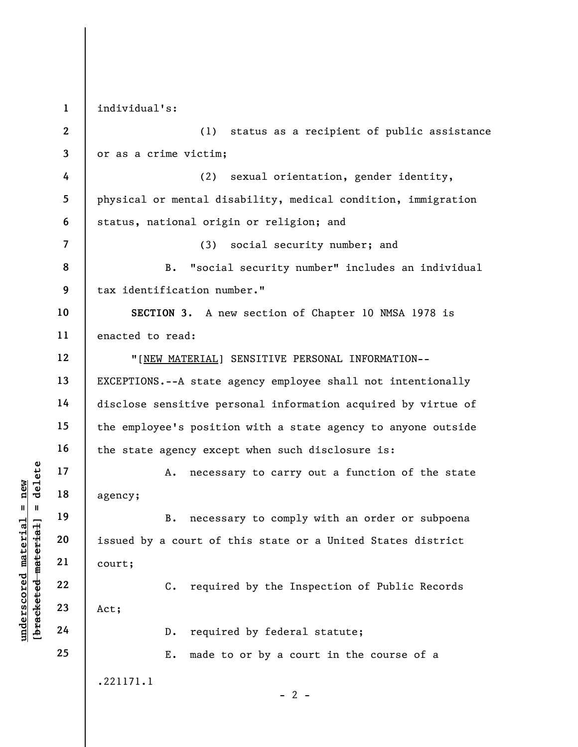underscored material material material and the set of the set of the set of the set of the set of the set of the set of the set of the set of the set of the set of the set of the set of the set of the set of the set of the 1 2 3 4 5 6 7 8 9 10 11 12 13 14 15 16 17 18 19 20 21 22 23 24 25 individual's: (1) status as a recipient of public assistance or as a crime victim; (2) sexual orientation, gender identity, physical or mental disability, medical condition, immigration status, national origin or religion; and (3) social security number; and B. "social security number" includes an individual tax identification number." SECTION 3. A new section of Chapter 10 NMSA 1978 is enacted to read: "[NEW MATERIAL] SENSITIVE PERSONAL INFORMATION-- EXCEPTIONS.--A state agency employee shall not intentionally disclose sensitive personal information acquired by virtue of the employee's position with a state agency to anyone outside the state agency except when such disclosure is: A. necessary to carry out a function of the state agency; B. necessary to comply with an order or subpoena issued by a court of this state or a United States district court; C. required by the Inspection of Public Records Act; D. required by federal statute; E. made to or by a court in the course of a .221171.1  $- 2 -$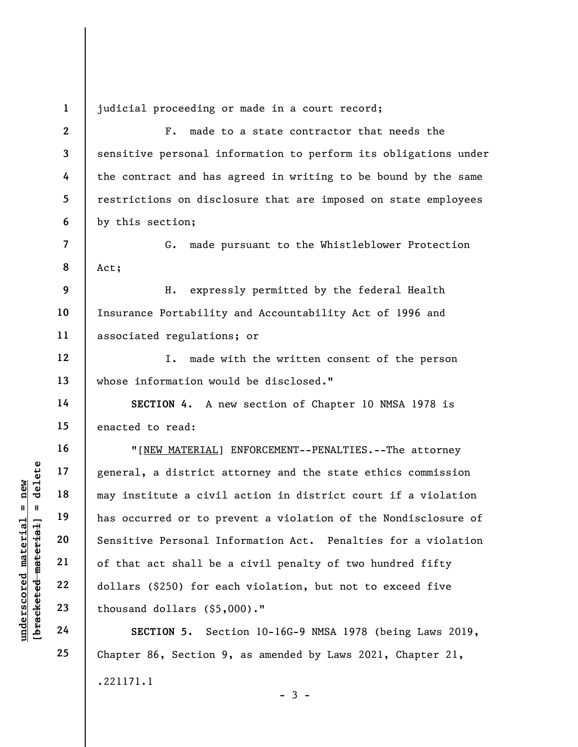judicial proceeding or made in a court record;

underscored material entire the material material may institute a civil<br>
may institute a civil<br>
may institute a civil<br>
may institute a civil<br>
may institute a civil<br>
has occurred or to pr<br>
sensitive Personal In<br>
sensitive P 2 3 4 5 6 7 8 9 10 11 12 13 14 15 16 17 18 19 20 21 22 23 F. made to a state contractor that needs the sensitive personal information to perform its obligations under the contract and has agreed in writing to be bound by the same restrictions on disclosure that are imposed on state employees by this section; G. made pursuant to the Whistleblower Protection Act; H. expressly permitted by the federal Health Insurance Portability and Accountability Act of 1996 and associated regulations; or I. made with the written consent of the person whose information would be disclosed." SECTION 4. A new section of Chapter 10 NMSA 1978 is enacted to read: "[NEW MATERIAL] ENFORCEMENT--PENALTIES.--The attorney general, a district attorney and the state ethics commission may institute a civil action in district court if a violation has occurred or to prevent a violation of the Nondisclosure of Sensitive Personal Information Act. Penalties for a violation of that act shall be a civil penalty of two hundred fifty dollars (\$250) for each violation, but not to exceed five thousand dollars (\$5,000)."

SECTION 5. Section 10-16G-9 NMSA 1978 (being Laws 2019, Chapter 86, Section 9, as amended by Laws 2021, Chapter 21, .221171.1  $-3 -$ 

24

25

1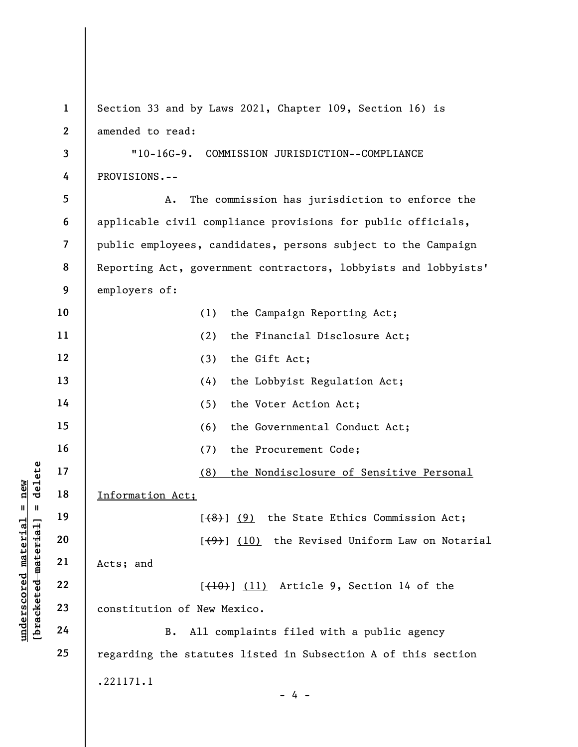underscored material = new [bracketed material] = delete 1 2 3 4 5 6 7 8 9 10 11 12 13 14 15 16 17 18 19 20 21 22 23 24 25 Section 33 and by Laws 2021, Chapter 109, Section 16) is amended to read: "10-16G-9. COMMISSION JURISDICTION--COMPLIANCE PROVISIONS.-- A. The commission has jurisdiction to enforce the applicable civil compliance provisions for public officials, public employees, candidates, persons subject to the Campaign Reporting Act, government contractors, lobbyists and lobbyists' employers of: (1) the Campaign Reporting Act; (2) the Financial Disclosure Act; (3) the Gift Act; (4) the Lobbyist Regulation Act; (5) the Voter Action Act; (6) the Governmental Conduct Act; (7) the Procurement Code; (8) the Nondisclosure of Sensitive Personal Information Act;  $[$ (8)] (9) the State Ethics Commission Act;  $[\frac{(4)}{9}]$  (10) the Revised Uniform Law on Notarial Acts; and  $[{(10)}]$  (11) Article 9, Section 14 of the constitution of New Mexico. B. All complaints filed with a public agency regarding the statutes listed in Subsection A of this section .221171.1  $- 4 -$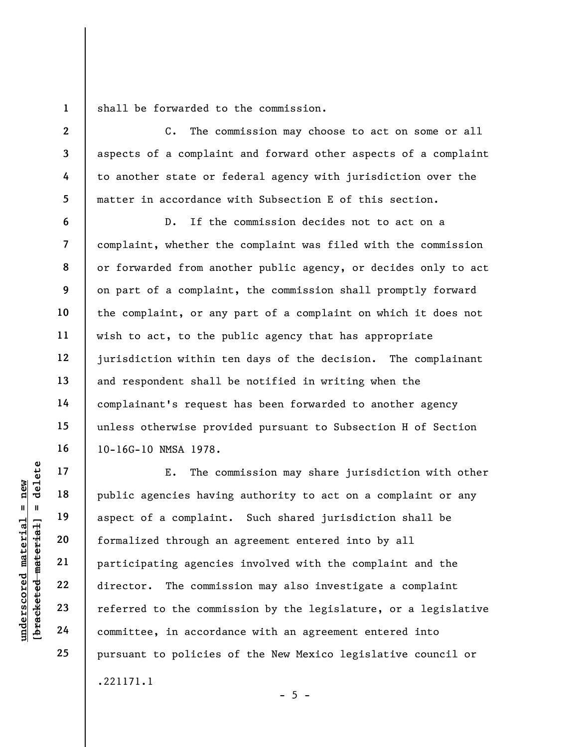1 shall be forwarded to the commission.

C. The commission may choose to act on some or all aspects of a complaint and forward other aspects of a complaint to another state or federal agency with jurisdiction over the matter in accordance with Subsection E of this section.

D. If the commission decides not to act on a complaint, whether the complaint was filed with the commission or forwarded from another public agency, or decides only to act on part of a complaint, the commission shall promptly forward the complaint, or any part of a complaint on which it does not wish to act, to the public agency that has appropriate jurisdiction within ten days of the decision. The complainant and respondent shall be notified in writing when the complainant's request has been forwarded to another agency unless otherwise provided pursuant to Subsection H of Section 10-16G-10 NMSA 1978.

under 17<br>
= 18<br>
= 18<br>
= 19<br>
= 19<br>
= 19<br>
= 19<br>
= 19<br>
= 19<br>
= 19<br>
= 19<br>
= 19<br>
= 19<br>
= 19<br>
= 19<br>
= 19<br>
= 19<br>
= 19<br>
= 19<br>
= 19<br>
= 19<br>
= 19<br>
= 19<br>
= 19<br>
= 19<br>
= 19<br>
= 19<br>
= 19<br>
= 19<br>
= 19<br>
= 19<br>
= 19<br>
= 19<br>
= 19<br>
= 19<br>
= 19<br>
= E. The commission may share jurisdiction with other public agencies having authority to act on a complaint or any aspect of a complaint. Such shared jurisdiction shall be formalized through an agreement entered into by all participating agencies involved with the complaint and the director. The commission may also investigate a complaint referred to the commission by the legislature, or a legislative committee, in accordance with an agreement entered into pursuant to policies of the New Mexico legislative council or .221171.1

2

3

4

5

6

7

8

9

10

11

12

13

14

15

16

17

18

19

20

21

22

23

24

25

 $- 5 -$